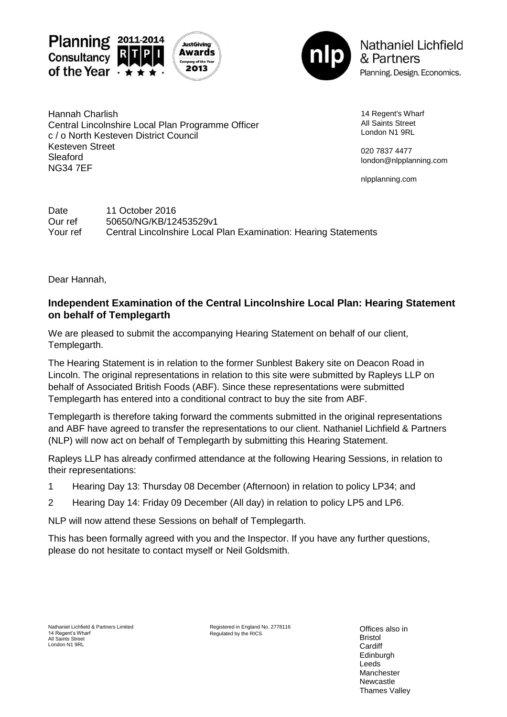



**Nathaniel Lichfield** & Partners Planning. Design. Economics.

Hannah Charlish Central Lincolnshire Local Plan Programme Officer c / o North Kesteven District Council Kesteven Street Sleaford NG34 7EF

14 Regent's Wharf All Saints Street London N1 9RL

020 7837 4477 london@nlpplanning.com

nlpplanning.com

Date 11 October 2016 Our ref 50650/NG/KB/12453529v1 Your ref Central Lincolnshire Local Plan Examination: Hearing Statements

Dear Hannah,

## **Independent Examination of the Central Lincolnshire Local Plan: Hearing Statement on behalf of Templegarth**

We are pleased to submit the accompanying Hearing Statement on behalf of our client, Templegarth.

The Hearing Statement is in relation to the former Sunblest Bakery site on Deacon Road in Lincoln. The original representations in relation to this site were submitted by Rapleys LLP on behalf of Associated British Foods (ABF). Since these representations were submitted Templegarth has entered into a conditional contract to buy the site from ABF.

Templegarth is therefore taking forward the comments submitted in the original representations and ABF have agreed to transfer the representations to our client. Nathaniel Lichfield & Partners (NLP) will now act on behalf of Templegarth by submitting this Hearing Statement.

Rapleys LLP has already confirmed attendance at the following Hearing Sessions, in relation to their representations:

- 1 Hearing Day 13: Thursday 08 December (Afternoon) in relation to policy LP34; and
- 2 Hearing Day 14: Friday 09 December (All day) in relation to policy LP5 and LP6.

NLP will now attend these Sessions on behalf of Templegarth.

This has been formally agreed with you and the Inspector. If you have any further questions, please do not hesitate to contact myself or Neil Goldsmith.

Registered in England No. 2778116 Regulated by the RICS